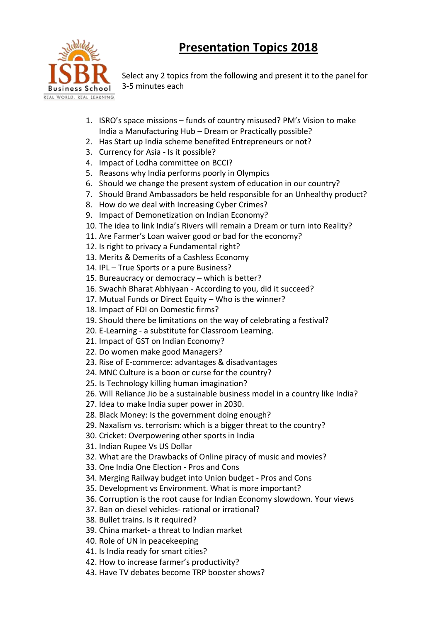## **Presentation Topics 2018**



Select any 2 topics from the following and present it to the panel for 3-5 minutes each

- 1. ISRO's space missions funds of country misused? PM's Vision to make India a Manufacturing Hub – Dream or Practically possible?
- 2. Has Start up India scheme benefited Entrepreneurs or not?
- 3. Currency for Asia Is it possible?
- 4. Impact of Lodha committee on BCCI?
- 5. Reasons why India performs poorly in Olympics
- 6. Should we change the present system of education in our country?
- 7. Should Brand Ambassadors be held responsible for an Unhealthy product?
- 8. How do we deal with Increasing Cyber Crimes?
- 9. Impact of Demonetization on Indian Economy?
- 10. The idea to link India's Rivers will remain a Dream or turn into Reality?
- 11. Are Farmer's Loan waiver good or bad for the economy?
- 12. Is right to privacy a Fundamental right?
- 13. Merits & Demerits of a Cashless Economy
- 14. IPL True Sports or a pure Business?
- 15. Bureaucracy or democracy which is better?
- 16. Swachh Bharat Abhiyaan According to you, did it succeed?
- 17. Mutual Funds or Direct Equity Who is the winner?
- 18. Impact of FDI on Domestic firms?
- 19. Should there be limitations on the way of celebrating a festival?
- 20. E-Learning a substitute for Classroom Learning.
- 21. Impact of GST on Indian Economy?
- 22. Do women make good Managers?
- 23. Rise of E-commerce: advantages & disadvantages
- 24. MNC Culture is a boon or curse for the country?
- 25. Is Technology killing human imagination?
- 26. Will Reliance Jio be a sustainable business model in a country like India?
- 27. Idea to make India super power in 2030.
- 28. Black Money: Is the government doing enough?
- 29. Naxalism vs. terrorism: which is a bigger threat to the country?
- 30. Cricket: Overpowering other sports in India
- 31. Indian Rupee Vs US Dollar
- 32. What are the Drawbacks of Online piracy of music and movies?
- 33. One India One Election Pros and Cons
- 34. Merging Railway budget into Union budget Pros and Cons
- 35. Development vs Environment. What is more important?
- 36. Corruption is the root cause for Indian Economy slowdown. Your views
- 37. Ban on diesel vehicles- rational or irrational?
- 38. Bullet trains. Is it required?
- 39. China market- a threat to Indian market
- 40. Role of UN in peacekeeping
- 41. Is India ready for smart cities?
- 42. How to increase farmer's productivity?
- 43. Have TV debates become TRP booster shows?